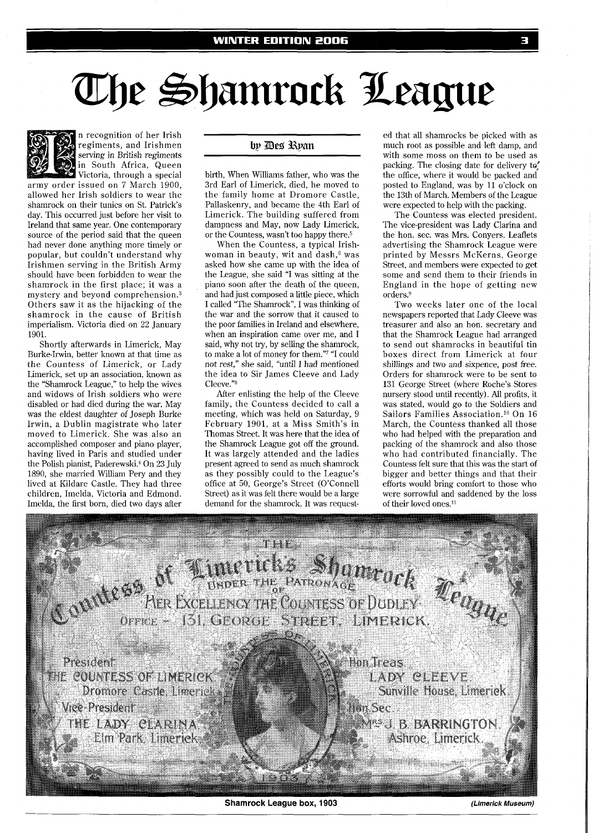# The Shamrock League



n recognition of her Irish regiments, and Irishmen serving in British regiments in South Africa, Queen Victoria, through a special

army order issued on 7 March 1900, allowed her Irish soldiers to wear the shamrock on their tunics on St. Patrick's day. This occurred just before her visit to Ireland that same year. One contemporary source of the period said that the queen had never done anything more timely or popular, but couldn't understand why Irishmen serving in the British Army should have been forbidden to wear the shamrock in the first place; it was a mystery and beyond comprehension.<sup>3</sup> Others saw it as the hijacking of the shamrock in the cause of British imperialism. Victoria died on 22 January 1901.

Shortly afterwards in Limerick, May Burke-Irwin, better known at that time as the Countess of Limerick, or Lady Limerick, set up an association, known as the "Shamrock League," to help the wives and widows of Irish soldiers who were disabled or had died during the war. May was the eldest daughter of Joseph Burke Irwin, a Dublin magistrate who later moved to Limerick. She was also an accomplished composer and piano player, having lived in Paris and studied under the Polish pianist, Paderewski.<sup>4</sup> On 23 July 1890, she married William Pery and they lived at Kildare Castle. They had three children, Imelda, Victoria and Edmond. Imelda, the first born, died two days after

## by Des Ryan

birth, When Williams father, who was the 3rd Earl of Limerick, died, he moved to the family home at Dromore Castle, Pallaskenry, and became the 4th Earl of Limerick. The building suffered from dampness and May, now Lady Limerick, or the Countess, wasn't too happy there.5

When the Countess, a typical Irishwoman in beauty, wit and dash,<sup>6</sup> was asked how she came up with the idea of the League, she said "I was sitting at the piano soon after the death of the queen, and had just composed a little piece, which I called "The Shamrock", I was thinking of the war and the sorrow that it caused to the poor families in Ireland and elsewhere, when an inspiration came over me, and I said, why not try, by selling the shamrock, to make a lot of money for them."7 "I could not rest," she said, "until I had mentioned the idea to Sir James Cleeve and Lady Cleeve."

After enlisting the help of the Cleeve family, the Countess decided to call a meeting, which was held on Saturday, 9 February 1901, at a Miss Smith's in Thomas Street. It was here that the idea of the Shamrock League got off the ground. It was largely attended and the ladies present agreed to send as much shamrock as they possibly could to the League's office at 50, George's Street (O'Connell Street) as it was felt there would be a large demand for the shamrock. It was request-

ed that all shamrocks be picked with as much root as possible and left damp, and with some moss on them to be used as packing. The closing date for delivery to, the office, where it would be packed and posted to England, was by 11 o'clock on the 13th of March. Members of the League were expected to help with the packing.

The Countess was elected president. The vice-president was Lady Clarina and the hon. sec. was Mrs. Conyers. Leaflets advertising the Shamrock League were printed by Messrs McKerns, George Street, and members were expected to get some and send them to their friends in England in the hope of getting new orders.<sup>9</sup>

Two weeks later one of the local newspapers reported that Lady Cleeve was treasurer and also an hon. secretary and that the Shamrock League had arranged to send out shamrocks in beautiful tin boxes direct from Limerick at four shillings and two and sixpence, post free. Orders for shamrock were to be sent to 131 George Street (where Roche's Stores nursery stood until recently). All profits, it was stated, would go to the Soldiers and Sailors Families Association.<sup>10</sup> On 16 March, the Countess thanked all those who had helped with the preparation and packing of the shamrock and also those who had contributed financially. The Countess felt sure that this was the start of bigger and better things and that their efforts would bring comfort to those who were sorrowful and saddened by the loss of their loved ones.<sup>11</sup>



**Shamrock League box, 1903 (Limerick Museum)**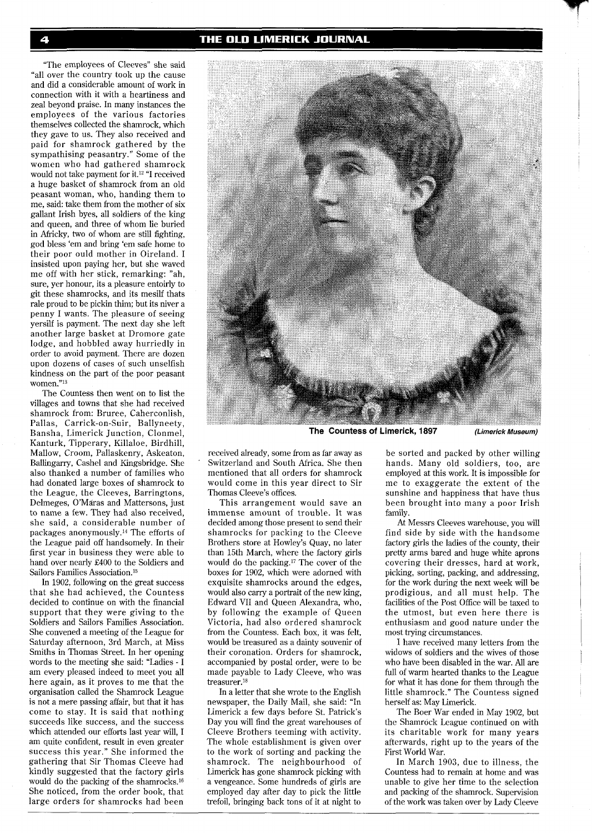### THE OLD LIMERICK JOURNAL

"The employees of Cleeves" she said "all over the country took up the cause and did a considerable amount of work in connection with it with a heartiness and zeal beyond praise. In many instances the employees of the various factories themselves collected the shamrock, which they gave to us. They also received and paid for shamrock gathered by the sympathising peasantry." Some of the women who had gathered shamrock would not take payment for it.<sup>12</sup> "I received a huge basket of shamrock from an old peasant woman, who, handing them to me, said: take them from the mother of six gallant Irish byes, all soldiers of the king and queen, and three of whom lie buried in Africky, two of whom are still fighting, god bless 'em and bring 'em safe home to their poor ould mother in Oireland. I insisted upon paying her, but she waved me off with her stick, remarking: "ah, sure, yer honour, its a pleasure entoirly to git these shamrocks, and its mesilf thats rale proud to be pickin thim; but its niver a penny I wants. The pleasure of seeing yersilf is payment. The next day she left another large basket at Dromore gate lodge, and hobbled away hurriedly in order to avoid payment. There are dozen upon dozens of cases of such unselfish kindness on the part of the poor peasant women."13

The Countess then went on to list the villages and towns that she had received shamrock from: Bruree, Caherconlish, Pallas, Carrick-on-Suir, Ballyneety, Bansha, Limerick Junction, Clonmel, Kanturk, Tipperary, Killaloe, Birdhill, Mallow, Croom, Pallaskenry, Askeaton, Ballingarry, Cashel and Kingsbridge. She also thanked a number of families who had donated large boxes of shamrock to the League, the Cleeves, Barringtons, Delmeges, O'Máras and Mattersons, just to name a few. They had also received, she said, a considerable number of packages anonymously.<sup>14</sup> The efforts of the League paid off handsomely. In their first year in business they were able to hand over nearly £400 to the Soldiers and Sailors Families Association.<sup>15</sup>

In 1902, following on the great success that she had achieved, the Countess decided to continue on with the financial support that they were giving to the Soldiers and Sailors Families Association. She convened a meeting of the League for Saturday afternoon, 3rd March, at Miss Smiths in Thomas Street. In her opening words to the meeting she said: "Ladies - I am every pleased indeed to meet you all here again, as it proves to me that the organisation called the Shamrock League is not a mere passing affair, but that it has come to stay. It is said that nothing succeeds like success, and the success which attended our efforts last year will, I am quite confident, result in even greater success this year." She informed the gathering that Sir Thomas Cleeve had kindly suggested that the factory girls would do the packing of the shamrocks.16 She noticed, from the order book, that large orders for shamrocks had been



**The Countess of Limerick, 1897 (Limerick Museum)** 

received already, some from as far away as Switzerland and South Africa. She then mentioned that all orders for shamrock would come in this year direct to Sir Thomas Cleeve's offices.

This arrangement would save an immense amount of trouble. It was decided among those present to send their shamrocks for packing to the Cleeve Brothers store at Howley's Quay, no later than 15th March, where the factory girls would do the packing.17 The cover of the boxes for 1902, which were adorned with exquisite shamrocks around the edges, would also carry a portrait of the new king, Edward V11 and Queen Alexandra, who, by following the example of Queen Victoria, had also ordered shamrock from the Countess. Each box, it was felt, would be treasured as a dainty souvenir of their coronation. Orders for shamrock, accompanied by postal order, were to be made payable to Lady Cleeve, who was treasurer.18

In a letter that she wrote to the English newspaper, the Daily Mail, she said: "In Limerick a few days before St. Patrick's Day you will find the great warehouses of Cleeve Brothers teeming with activity. The whole establishment is given over to the work of sorting and packing the shamrock. The neighbourhood of Limerick has gone shamrock picking with a vengeance. Some hundreds of girls are employed day after day to pick the little trefoil, bringing back tons of it at night to

be sorted and packed by other willing hands. Many old soldiers, too, are employed at this work. It is impossible for me to exaggerate the extent of the sunshine and happiness that have thus been brought into many a poor Irish family.

At Messrs Cleeves warehouse, you will find side by side with the handsome factory girls the ladies of the county, their pretty arms bared and huge white aprons covering their dresses, hard at work, picking, sorting, packing, and addressing, for the work during the next week will be prodigious, and all must help. The facilities of the Post Office will be taxed to the utmost, but even here there is enthusiasm and good nature under the most trying circumstances.

I have received many letters from the widows of soldiers and the wives of those who have been disabled in the war. All are full of warm hearted thanks to the League for what it has done for them through the little shamrock." The Countess signed herself as: May Limerick.

The Boer War ended in May 1902, but the Shamrock League continued on with its charitable work for many years afterwards, right up to the years of the First World War.

In March 1903, due to illness, the Countess had to remain at home and was unable to give her time to the selection and packing of the shamrock. Supervision of the work was taken over by Lady Cleeve